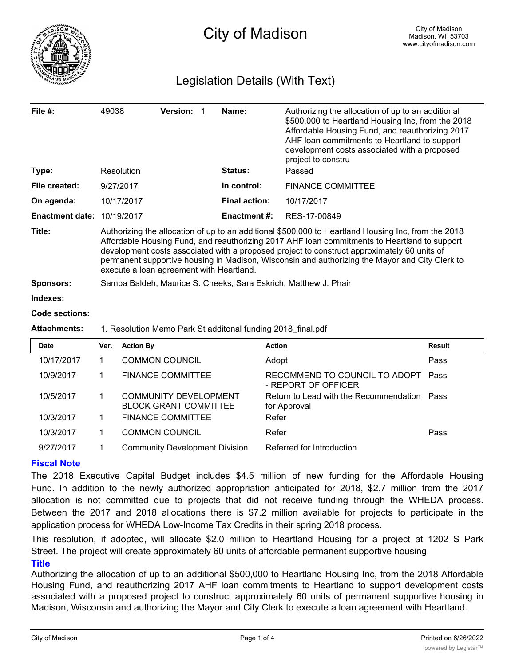

# Legislation Details (With Text)

| File $#$ :             | 49038                                                                                                                                                                                                                                                                                                                                                                                                                                            | <b>Version:</b> |  | Name:                | Authorizing the allocation of up to an additional<br>\$500,000 to Heartland Housing Inc, from the 2018<br>Affordable Housing Fund, and reauthorizing 2017<br>AHF loan commitments to Heartland to support<br>development costs associated with a proposed<br>project to constru |  |  |  |
|------------------------|--------------------------------------------------------------------------------------------------------------------------------------------------------------------------------------------------------------------------------------------------------------------------------------------------------------------------------------------------------------------------------------------------------------------------------------------------|-----------------|--|----------------------|---------------------------------------------------------------------------------------------------------------------------------------------------------------------------------------------------------------------------------------------------------------------------------|--|--|--|
| Type:                  | Resolution                                                                                                                                                                                                                                                                                                                                                                                                                                       |                 |  | Status:              | Passed                                                                                                                                                                                                                                                                          |  |  |  |
| File created:          | 9/27/2017                                                                                                                                                                                                                                                                                                                                                                                                                                        |                 |  | In control:          | <b>FINANCE COMMITTEE</b>                                                                                                                                                                                                                                                        |  |  |  |
| On agenda:             | 10/17/2017                                                                                                                                                                                                                                                                                                                                                                                                                                       |                 |  | <b>Final action:</b> | 10/17/2017                                                                                                                                                                                                                                                                      |  |  |  |
| <b>Enactment date:</b> | 10/19/2017                                                                                                                                                                                                                                                                                                                                                                                                                                       |                 |  | <b>Enactment #:</b>  | RES-17-00849                                                                                                                                                                                                                                                                    |  |  |  |
| Title:                 | Authorizing the allocation of up to an additional \$500,000 to Heartland Housing Inc, from the 2018<br>Affordable Housing Fund, and reauthorizing 2017 AHF loan commitments to Heartland to support<br>development costs associated with a proposed project to construct approximately 60 units of<br>permanent supportive housing in Madison, Wisconsin and authorizing the Mayor and City Clerk to<br>execute a loan agreement with Heartland. |                 |  |                      |                                                                                                                                                                                                                                                                                 |  |  |  |
| <b>Sponsors:</b>       | Samba Baldeh, Maurice S. Cheeks, Sara Eskrich, Matthew J. Phair                                                                                                                                                                                                                                                                                                                                                                                  |                 |  |                      |                                                                                                                                                                                                                                                                                 |  |  |  |
| Indexes:               |                                                                                                                                                                                                                                                                                                                                                                                                                                                  |                 |  |                      |                                                                                                                                                                                                                                                                                 |  |  |  |
| <b>Code sections:</b>  |                                                                                                                                                                                                                                                                                                                                                                                                                                                  |                 |  |                      |                                                                                                                                                                                                                                                                                 |  |  |  |
| <b>Attachments:</b>    | 1. Resolution Memo Park St additonal funding 2018 final.pdf                                                                                                                                                                                                                                                                                                                                                                                      |                 |  |                      |                                                                                                                                                                                                                                                                                 |  |  |  |

| <b>Date</b> | Ver. | <b>Action By</b>                                             | <b>Action</b>                                               | <b>Result</b> |
|-------------|------|--------------------------------------------------------------|-------------------------------------------------------------|---------------|
| 10/17/2017  |      | <b>COMMON COUNCIL</b>                                        | Adopt                                                       | Pass          |
| 10/9/2017   |      | <b>FINANCE COMMITTEE</b>                                     | RECOMMEND TO COUNCIL TO ADOPT<br>- REPORT OF OFFICER        | Pass          |
| 10/5/2017   |      | <b>COMMUNITY DEVELOPMENT</b><br><b>BLOCK GRANT COMMITTEE</b> | Return to Lead with the Recommendation Pass<br>for Approval |               |
| 10/3/2017   |      | <b>FINANCE COMMITTEE</b>                                     | Refer                                                       |               |
| 10/3/2017   |      | <b>COMMON COUNCIL</b>                                        | Refer                                                       | Pass          |
| 9/27/2017   |      | <b>Community Development Division</b>                        | Referred for Introduction                                   |               |

# **Fiscal Note**

The 2018 Executive Capital Budget includes \$4.5 million of new funding for the Affordable Housing Fund. In addition to the newly authorized appropriation anticipated for 2018, \$2.7 million from the 2017 allocation is not committed due to projects that did not receive funding through the WHEDA process. Between the 2017 and 2018 allocations there is \$7.2 million available for projects to participate in the application process for WHEDA Low-Income Tax Credits in their spring 2018 process.

This resolution, if adopted, will allocate \$2.0 million to Heartland Housing for a project at 1202 S Park Street. The project will create approximately 60 units of affordable permanent supportive housing.

# **Title**

Authorizing the allocation of up to an additional \$500,000 to Heartland Housing Inc, from the 2018 Affordable Housing Fund, and reauthorizing 2017 AHF loan commitments to Heartland to support development costs associated with a proposed project to construct approximately 60 units of permanent supportive housing in Madison, Wisconsin and authorizing the Mayor and City Clerk to execute a loan agreement with Heartland.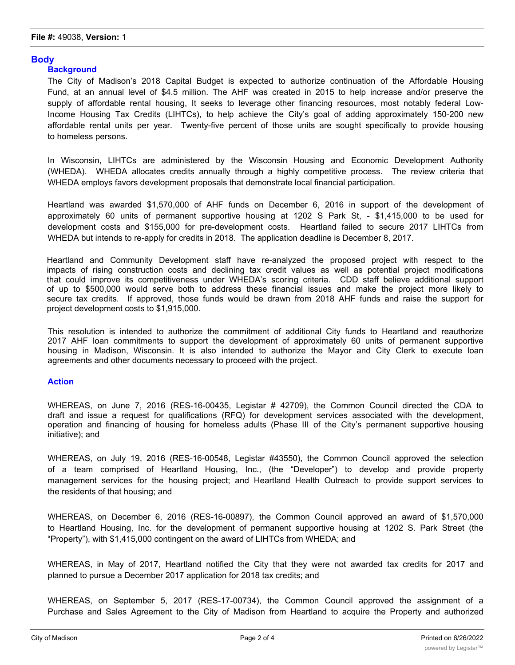# **Body**

### **Background**

The City of Madison's 2018 Capital Budget is expected to authorize continuation of the Affordable Housing Fund, at an annual level of \$4.5 million. The AHF was created in 2015 to help increase and/or preserve the supply of affordable rental housing, It seeks to leverage other financing resources, most notably federal Low-Income Housing Tax Credits (LIHTCs), to help achieve the City's goal of adding approximately 150-200 new affordable rental units per year. Twenty-five percent of those units are sought specifically to provide housing to homeless persons.

In Wisconsin, LIHTCs are administered by the Wisconsin Housing and Economic Development Authority (WHEDA). WHEDA allocates credits annually through a highly competitive process. The review criteria that WHEDA employs favors development proposals that demonstrate local financial participation.

Heartland was awarded \$1,570,000 of AHF funds on December 6, 2016 in support of the development of approximately 60 units of permanent supportive housing at 1202 S Park St, - \$1,415,000 to be used for development costs and \$155,000 for pre-development costs. Heartland failed to secure 2017 LIHTCs from WHEDA but intends to re-apply for credits in 2018. The application deadline is December 8, 2017.

Heartland and Community Development staff have re-analyzed the proposed project with respect to the impacts of rising construction costs and declining tax credit values as well as potential project modifications that could improve its competitiveness under WHEDA's scoring criteria. CDD staff believe additional support of up to \$500,000 would serve both to address these financial issues and make the project more likely to secure tax credits. If approved, those funds would be drawn from 2018 AHF funds and raise the support for project development costs to \$1,915,000.

This resolution is intended to authorize the commitment of additional City funds to Heartland and reauthorize 2017 AHF loan commitments to support the development of approximately 60 units of permanent supportive housing in Madison, Wisconsin. It is also intended to authorize the Mayor and City Clerk to execute loan agreements and other documents necessary to proceed with the project.

## **Action**

WHEREAS, on June 7, 2016 (RES-16-00435, Legistar # 42709), the Common Council directed the CDA to draft and issue a request for qualifications (RFQ) for development services associated with the development, operation and financing of housing for homeless adults (Phase III of the City's permanent supportive housing initiative); and

WHEREAS, on July 19, 2016 (RES-16-00548, Legistar #43550), the Common Council approved the selection of a team comprised of Heartland Housing, Inc., (the "Developer") to develop and provide property management services for the housing project; and Heartland Health Outreach to provide support services to the residents of that housing; and

WHEREAS, on December 6, 2016 (RES-16-00897), the Common Council approved an award of \$1,570,000 to Heartland Housing, Inc. for the development of permanent supportive housing at 1202 S. Park Street (the "Property"), with \$1,415,000 contingent on the award of LIHTCs from WHEDA; and

WHEREAS, in May of 2017, Heartland notified the City that they were not awarded tax credits for 2017 and planned to pursue a December 2017 application for 2018 tax credits; and

WHEREAS, on September 5, 2017 (RES-17-00734), the Common Council approved the assignment of a Purchase and Sales Agreement to the City of Madison from Heartland to acquire the Property and authorized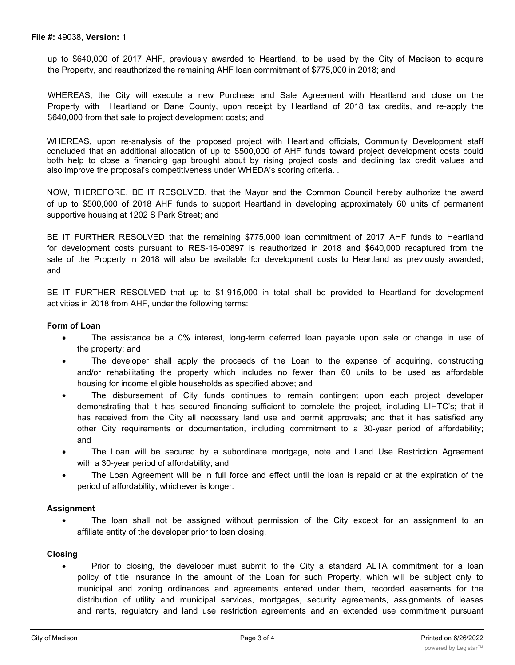#### **File #:** 49038, **Version:** 1

up to \$640,000 of 2017 AHF, previously awarded to Heartland, to be used by the City of Madison to acquire the Property, and reauthorized the remaining AHF loan commitment of \$775,000 in 2018; and

WHEREAS, the City will execute a new Purchase and Sale Agreement with Heartland and close on the Property with Heartland or Dane County, upon receipt by Heartland of 2018 tax credits, and re-apply the \$640,000 from that sale to project development costs; and

WHEREAS, upon re-analysis of the proposed project with Heartland officials, Community Development staff concluded that an additional allocation of up to \$500,000 of AHF funds toward project development costs could both help to close a financing gap brought about by rising project costs and declining tax credit values and also improve the proposal's competitiveness under WHEDA's scoring criteria. .

NOW, THEREFORE, BE IT RESOLVED, that the Mayor and the Common Council hereby authorize the award of up to \$500,000 of 2018 AHF funds to support Heartland in developing approximately 60 units of permanent supportive housing at 1202 S Park Street; and

BE IT FURTHER RESOLVED that the remaining \$775,000 loan commitment of 2017 AHF funds to Heartland for development costs pursuant to RES-16-00897 is reauthorized in 2018 and \$640,000 recaptured from the sale of the Property in 2018 will also be available for development costs to Heartland as previously awarded; and

BE IT FURTHER RESOLVED that up to \$1,915,000 in total shall be provided to Heartland for development activities in 2018 from AHF, under the following terms:

### **Form of Loan**

- · The assistance be a 0% interest, long-term deferred loan payable upon sale or change in use of the property; and
- The developer shall apply the proceeds of the Loan to the expense of acquiring, constructing and/or rehabilitating the property which includes no fewer than 60 units to be used as affordable housing for income eligible households as specified above; and
- · The disbursement of City funds continues to remain contingent upon each project developer demonstrating that it has secured financing sufficient to complete the project, including LIHTC's; that it has received from the City all necessary land use and permit approvals; and that it has satisfied any other City requirements or documentation, including commitment to a 30-year period of affordability; and
- The Loan will be secured by a subordinate mortgage, note and Land Use Restriction Agreement with a 30-year period of affordability; and
- The Loan Agreement will be in full force and effect until the loan is repaid or at the expiration of the period of affordability, whichever is longer.

#### **Assignment**

· The loan shall not be assigned without permission of the City except for an assignment to an affiliate entity of the developer prior to loan closing.

### **Closing**

Prior to closing, the developer must submit to the City a standard ALTA commitment for a loan policy of title insurance in the amount of the Loan for such Property, which will be subject only to municipal and zoning ordinances and agreements entered under them, recorded easements for the distribution of utility and municipal services, mortgages, security agreements, assignments of leases and rents, regulatory and land use restriction agreements and an extended use commitment pursuant